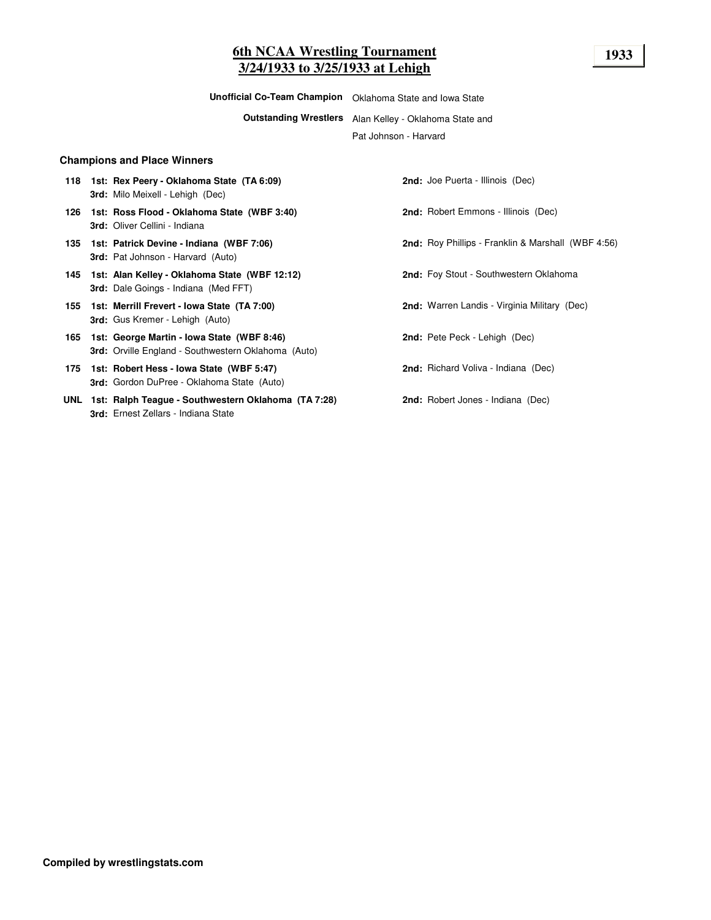# **6th NCAA Wrestling Tournament 1933 3/24/1933 to 3/25/1933 at Lehigh**

**Unofficial Co-Team Champion** Oklahoma State and Iowa State

**Outstanding Wrestlers** Alan Kelley - Oklahoma State and

Pat Johnson - Harvard

#### **Champions and Place Winners**

- **118 1st: Rex Peery - Oklahoma State (TA 6:09) 2nd:** Joe Puerta Illinois (Dec) **3rd:** Milo Meixell - Lehigh (Dec)
- **126 1st: Ross Flood - Oklahoma State (WBF 3:40) 2nd:** Robert Emmons Illinois (Dec) **3rd:** Oliver Cellini - Indiana
- **3rd:** Pat Johnson Harvard (Auto)
- **145 1st: Alan Kelley - Oklahoma State (WBF 12:12) 2nd:** Foy Stout Southwestern Oklahoma **3rd:** Dale Goings - Indiana (Med FFT)
- **155 1st: Merrill Frevert - Iowa State (TA 7:00) 2nd:** Warren Landis Virginia Military (Dec) **3rd:** Gus Kremer - Lehigh (Auto)
- **165 1st: George Martin - Iowa State (WBF 8:46) 2nd:** Pete Peck Lehigh (Dec) **3rd:** Orville England - Southwestern Oklahoma (Auto)
- **175 1st: Robert Hess - Iowa State (WBF 5:47) 2nd:** Richard Voliva Indiana (Dec) **3rd:** Gordon DuPree - Oklahoma State (Auto)
- **UNL 1st: Ralph Teague - Southwestern Oklahoma (TA 7:28) 2nd:** Robert Jones Indiana (Dec) **3rd:** Ernest Zellars - Indiana State

- **135 1st: Patrick Devine - Indiana (WBF 7:06) 2nd:** Roy Phillips Franklin & Marshall (WBF 4:56)
	-
	-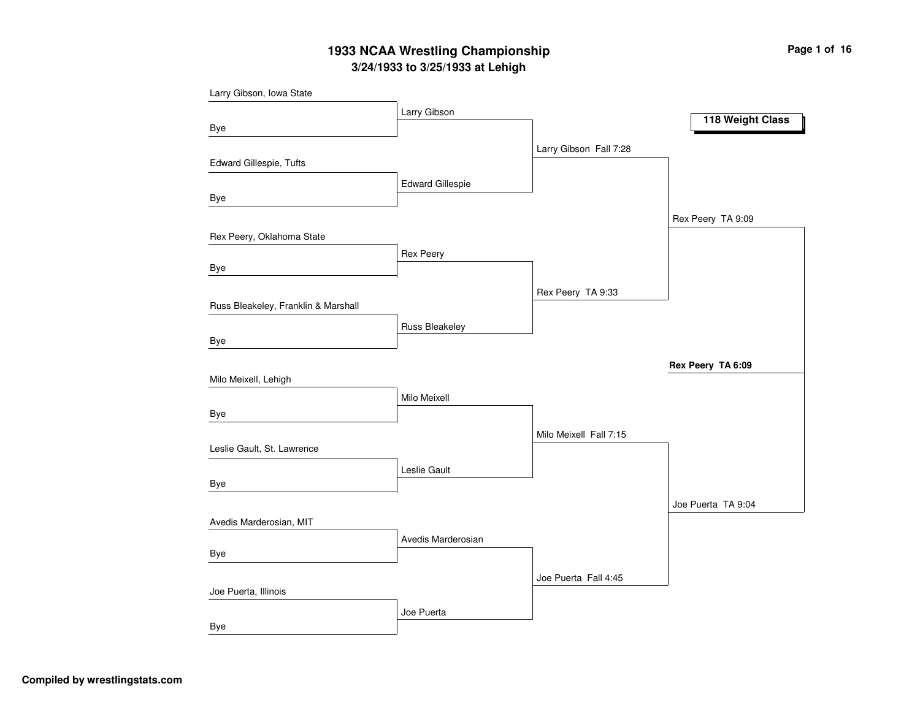# **3/24/1933 to 3/25/1933 at Lehigh 1933 NCAA Wrestling Championship Page <sup>1</sup> of <sup>16</sup>**

| Larry Gibson, Iowa State            |                         |                        |                    |
|-------------------------------------|-------------------------|------------------------|--------------------|
|                                     | Larry Gibson            |                        | 118 Weight Class   |
| Bye                                 |                         |                        |                    |
|                                     |                         | Larry Gibson Fall 7:28 |                    |
| Edward Gillespie, Tufts             |                         |                        |                    |
|                                     | <b>Edward Gillespie</b> |                        |                    |
| Bye                                 |                         |                        |                    |
|                                     |                         |                        | Rex Peery TA 9:09  |
| Rex Peery, Oklahoma State           |                         |                        |                    |
|                                     | <b>Rex Peery</b>        |                        |                    |
| Bye                                 |                         |                        |                    |
|                                     |                         | Rex Peery TA 9:33      |                    |
| Russ Bleakeley, Franklin & Marshall |                         |                        |                    |
|                                     | Russ Bleakeley          |                        |                    |
| Bye                                 |                         |                        |                    |
|                                     |                         |                        | Rex Peery TA 6:09  |
| Milo Meixell, Lehigh                |                         |                        |                    |
|                                     | Milo Meixell            |                        |                    |
| Bye                                 |                         |                        |                    |
| Leslie Gault, St. Lawrence          |                         | Milo Meixell Fall 7:15 |                    |
|                                     | Leslie Gault            |                        |                    |
| Bye                                 |                         |                        |                    |
|                                     |                         |                        | Joe Puerta TA 9:04 |
| Avedis Marderosian, MIT             |                         |                        |                    |
|                                     | Avedis Marderosian      |                        |                    |
| Bye                                 |                         |                        |                    |
|                                     |                         | Joe Puerta Fall 4:45   |                    |
| Joe Puerta, Illinois                |                         |                        |                    |
|                                     | Joe Puerta              |                        |                    |
| Bye                                 |                         |                        |                    |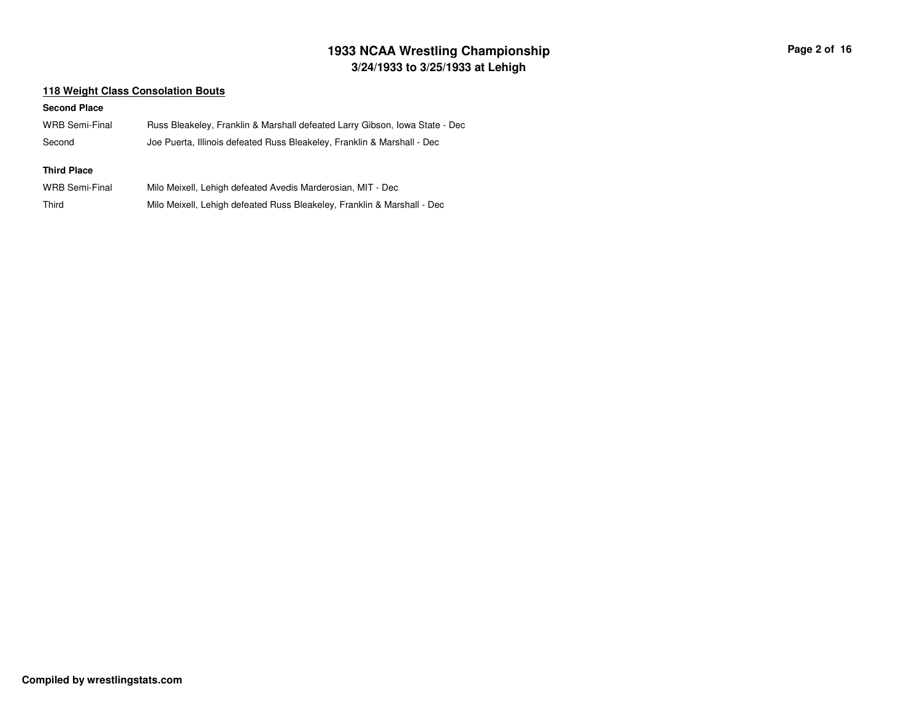# **3/24/1933 to 3/25/1933 at Lehigh 1933 NCAA Wrestling Championship Page <sup>2</sup> of <sup>16</sup>**

### **118 Weight Class Consolation Bouts**

#### **Second Place**

Third

| WRB Semi-Final     | Russ Bleakeley, Franklin & Marshall defeated Larry Gibson, Iowa State - Dec |
|--------------------|-----------------------------------------------------------------------------|
| Second             | Joe Puerta, Illinois defeated Russ Bleakeley, Franklin & Marshall - Dec     |
| <b>Third Place</b> |                                                                             |
| WRB Semi-Final     | Milo Meixell, Lehigh defeated Avedis Marderosian, MIT - Dec                 |

Milo Meixell, Lehigh defeated Russ Bleakeley, Franklin & Marshall - Dec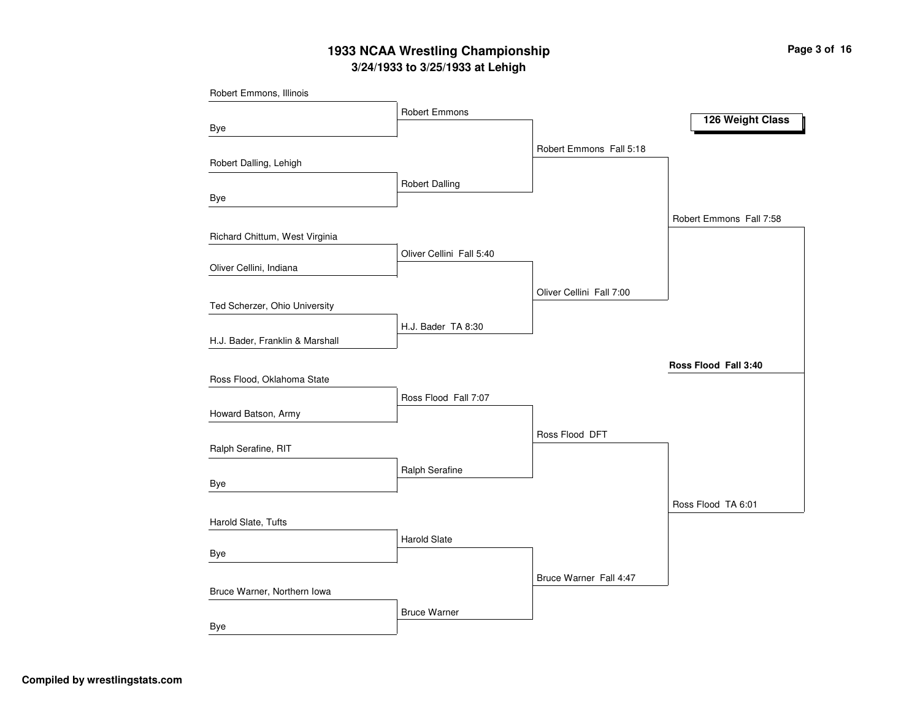# **3/24/1933 to 3/25/1933 at Lehigh 1933 NCAA Wrestling Championship Page <sup>3</sup> of <sup>16</sup>**

| Robert Emmons, Illinois         |                          |                          |                         |
|---------------------------------|--------------------------|--------------------------|-------------------------|
|                                 | Robert Emmons            |                          | 126 Weight Class        |
| Bye                             |                          |                          |                         |
|                                 |                          | Robert Emmons Fall 5:18  |                         |
| Robert Dalling, Lehigh          |                          |                          |                         |
|                                 | <b>Robert Dalling</b>    |                          |                         |
| Bye                             |                          |                          |                         |
|                                 |                          |                          | Robert Emmons Fall 7:58 |
| Richard Chittum, West Virginia  | Oliver Cellini Fall 5:40 |                          |                         |
| Oliver Cellini, Indiana         |                          |                          |                         |
|                                 |                          | Oliver Cellini Fall 7:00 |                         |
| Ted Scherzer, Ohio University   |                          |                          |                         |
|                                 | H.J. Bader TA 8:30       |                          |                         |
| H.J. Bader, Franklin & Marshall |                          |                          |                         |
|                                 |                          |                          | Ross Flood Fall 3:40    |
| Ross Flood, Oklahoma State      |                          |                          |                         |
|                                 | Ross Flood Fall 7:07     |                          |                         |
| Howard Batson, Army             |                          |                          |                         |
|                                 |                          | Ross Flood DFT           |                         |
| Ralph Serafine, RIT             |                          |                          |                         |
| Bye                             | Ralph Serafine           |                          |                         |
|                                 |                          |                          | Ross Flood TA 6:01      |
| Harold Slate, Tufts             |                          |                          |                         |
|                                 | <b>Harold Slate</b>      |                          |                         |
| Bye                             |                          |                          |                         |
|                                 |                          | Bruce Warner Fall 4:47   |                         |
| Bruce Warner, Northern Iowa     |                          |                          |                         |
|                                 | <b>Bruce Warner</b>      |                          |                         |
| <b>Bye</b>                      |                          |                          |                         |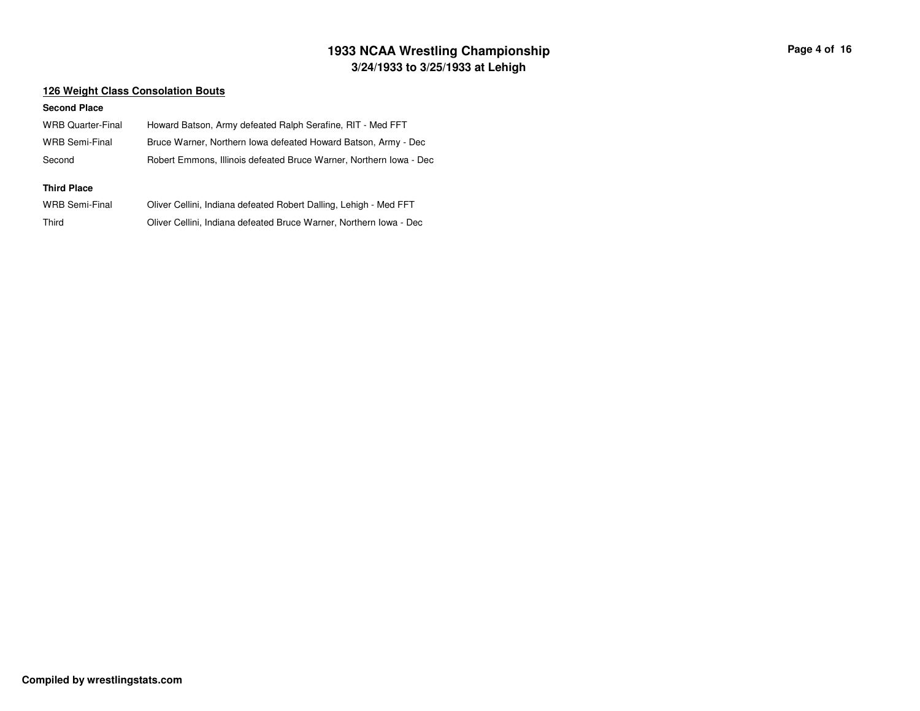# **3/24/1933 to 3/25/1933 at Lehigh 1933 NCAA Wrestling Championship Page <sup>4</sup> of <sup>16</sup>**

### **126 Weight Class Consolation Bouts**

#### **Second Place**

| <b>WRB Quarter-Final</b> | Howard Batson, Army defeated Ralph Serafine, RIT - Med FFT         |
|--------------------------|--------------------------------------------------------------------|
| <b>WRB Semi-Final</b>    | Bruce Warner, Northern Iowa defeated Howard Batson, Army - Dec     |
| Second                   | Robert Emmons, Illinois defeated Bruce Warner, Northern Iowa - Dec |
|                          |                                                                    |
|                          |                                                                    |
| <b>Third Place</b>       |                                                                    |
| <b>WRB Semi-Final</b>    | Oliver Cellini, Indiana defeated Robert Dalling, Lehigh - Med FFT  |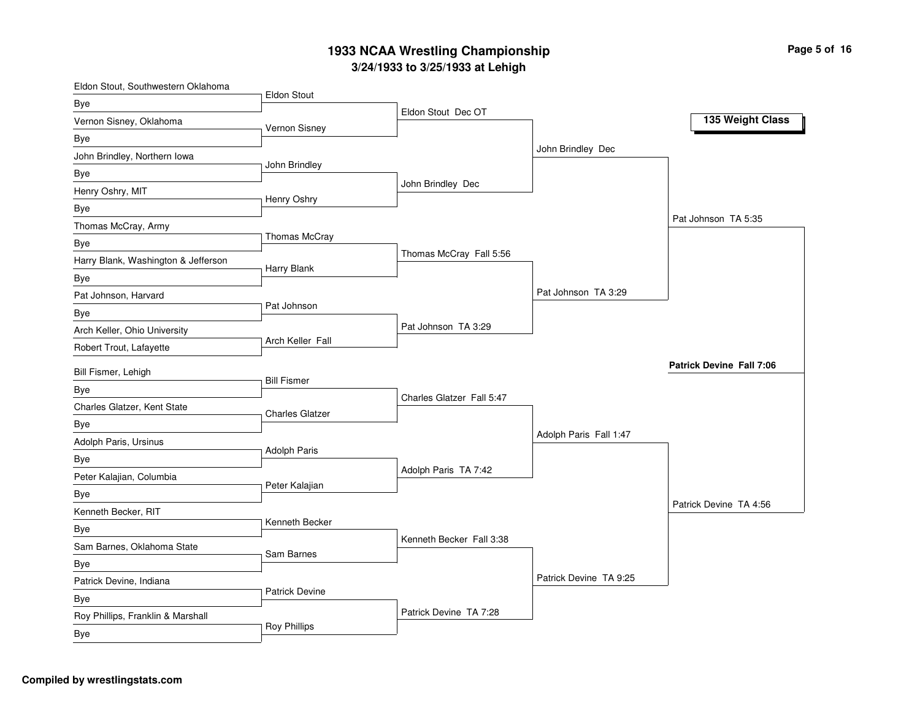# **3/2 4/19 3 3 to 3/2 5/19 3 3 at L e hig h 19 3 3 N C A A Wre stlin g C h a m pio n s hip**

| Eldon Stout, Southwestern Oklahoma  | Eldon Stout            |                           |                        |                                 |
|-------------------------------------|------------------------|---------------------------|------------------------|---------------------------------|
| <b>Bye</b>                          |                        | Eldon Stout Dec OT        |                        |                                 |
| Vernon Sisney, Oklahoma             | Vernon Sisney          |                           |                        | 135 Weight Class                |
| Bye                                 |                        |                           |                        |                                 |
| John Brindley, Northern Iowa        |                        |                           | John Brindley Dec      |                                 |
| Bye                                 | John Brindley          |                           |                        |                                 |
| Henry Oshry, MIT                    |                        | John Brindley Dec         |                        |                                 |
| Bye                                 | Henry Oshry            |                           |                        |                                 |
| Thomas McCray, Army                 |                        |                           |                        | Pat Johnson TA 5:35             |
| Bye                                 | Thomas McCray          |                           |                        |                                 |
| Harry Blank, Washington & Jefferson | Harry Blank            | Thomas McCray Fall 5:56   |                        |                                 |
| Bye                                 |                        |                           |                        |                                 |
| Pat Johnson, Harvard                |                        |                           | Pat Johnson TA 3:29    |                                 |
| <b>Bye</b>                          | Pat Johnson            |                           |                        |                                 |
| Arch Keller, Ohio University        |                        | Pat Johnson TA 3:29       |                        |                                 |
| Robert Trout, Lafayette             | Arch Keller Fall       |                           |                        |                                 |
| Bill Fismer, Lehigh                 |                        |                           |                        | <b>Patrick Devine Fall 7:06</b> |
| Bye                                 | <b>Bill Fismer</b>     |                           |                        |                                 |
| Charles Glatzer, Kent State         |                        | Charles Glatzer Fall 5:47 |                        |                                 |
| Bye                                 | <b>Charles Glatzer</b> |                           |                        |                                 |
| Adolph Paris, Ursinus               |                        |                           | Adolph Paris Fall 1:47 |                                 |
| Bye                                 | <b>Adolph Paris</b>    |                           |                        |                                 |
| Peter Kalajian, Columbia            |                        | Adolph Paris TA 7:42      |                        |                                 |
| Bye                                 | Peter Kalajian         |                           |                        |                                 |
| Kenneth Becker, RIT                 |                        |                           |                        | Patrick Devine TA 4:56          |
| Bye                                 | Kenneth Becker         |                           |                        |                                 |
| Sam Barnes, Oklahoma State          |                        | Kenneth Becker Fall 3:38  |                        |                                 |
| <b>Bye</b>                          | Sam Barnes             |                           |                        |                                 |
| Patrick Devine, Indiana             |                        |                           | Patrick Devine TA 9:25 |                                 |
| Bye                                 | <b>Patrick Devine</b>  |                           |                        |                                 |
| Roy Phillips, Franklin & Marshall   |                        | Patrick Devine TA 7:28    |                        |                                 |
| Bye                                 | <b>Roy Phillips</b>    |                           |                        |                                 |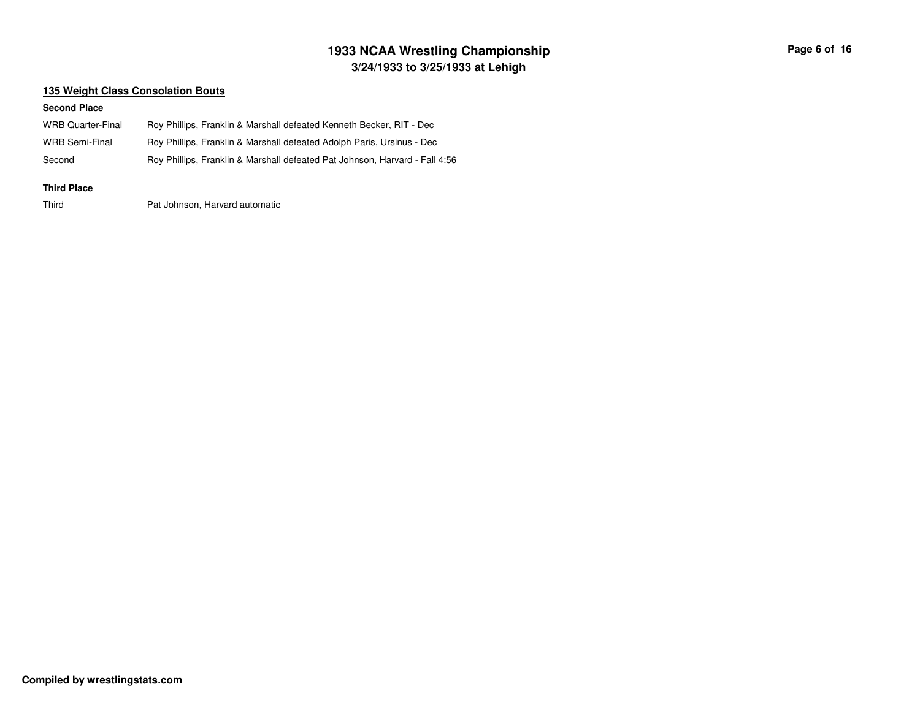# **3/24/1933 to 3/25/1933 at Lehigh 1933 NCAA Wrestling Championship Page <sup>6</sup> of <sup>16</sup>**

### **135 Weight Class Consolation Bouts**

#### **Second Place**

| <b>Third Place</b> |                                                                             |
|--------------------|-----------------------------------------------------------------------------|
| Second             | Roy Phillips, Franklin & Marshall defeated Pat Johnson, Harvard - Fall 4:56 |
| WRB Semi-Final     | Roy Phillips, Franklin & Marshall defeated Adolph Paris, Ursinus - Dec      |
| WRB Quarter-Final  | Roy Phillips, Franklin & Marshall defeated Kenneth Becker, RIT - Dec        |

Third

Pat Johnson, Harvard automatic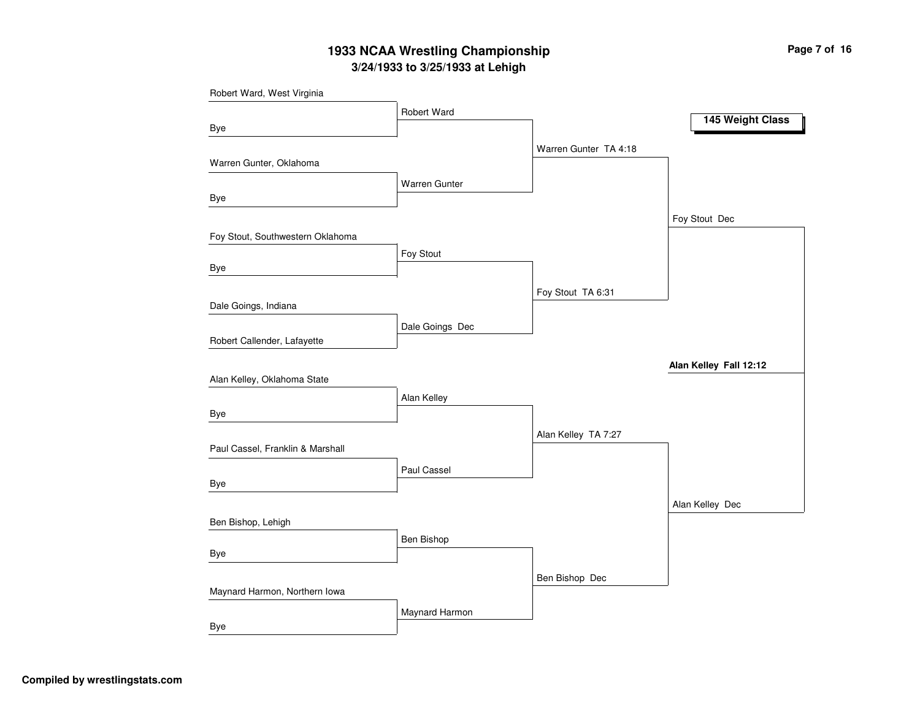# **3/24/1933 to 3/25/1933 at Lehigh 1933 NCAA Wrestling Championship Page <sup>7</sup> of <sup>16</sup>**

| Robert Ward, West Virginia       |                 |                       |                        |
|----------------------------------|-----------------|-----------------------|------------------------|
|                                  | Robert Ward     |                       | 145 Weight Class       |
| Bye                              |                 |                       |                        |
|                                  |                 | Warren Gunter TA 4:18 |                        |
| Warren Gunter, Oklahoma          |                 |                       |                        |
|                                  | Warren Gunter   |                       |                        |
| Bye                              |                 |                       |                        |
|                                  |                 |                       | Foy Stout Dec          |
| Foy Stout, Southwestern Oklahoma |                 |                       |                        |
|                                  | Foy Stout       |                       |                        |
| Bye                              |                 |                       |                        |
|                                  |                 | Foy Stout TA 6:31     |                        |
| Dale Goings, Indiana             |                 |                       |                        |
|                                  | Dale Goings Dec |                       |                        |
| Robert Callender, Lafayette      |                 |                       |                        |
|                                  |                 |                       | Alan Kelley Fall 12:12 |
| Alan Kelley, Oklahoma State      |                 |                       |                        |
|                                  | Alan Kelley     |                       |                        |
| Bye                              |                 |                       |                        |
| Paul Cassel, Franklin & Marshall |                 | Alan Kelley TA 7:27   |                        |
|                                  |                 |                       |                        |
| Bye                              | Paul Cassel     |                       |                        |
|                                  |                 |                       |                        |
| Ben Bishop, Lehigh               |                 |                       | Alan Kelley Dec        |
|                                  | Ben Bishop      |                       |                        |
| Bye                              |                 |                       |                        |
|                                  |                 |                       |                        |
| Maynard Harmon, Northern Iowa    |                 | Ben Bishop Dec        |                        |
|                                  | Maynard Harmon  |                       |                        |
| Bye                              |                 |                       |                        |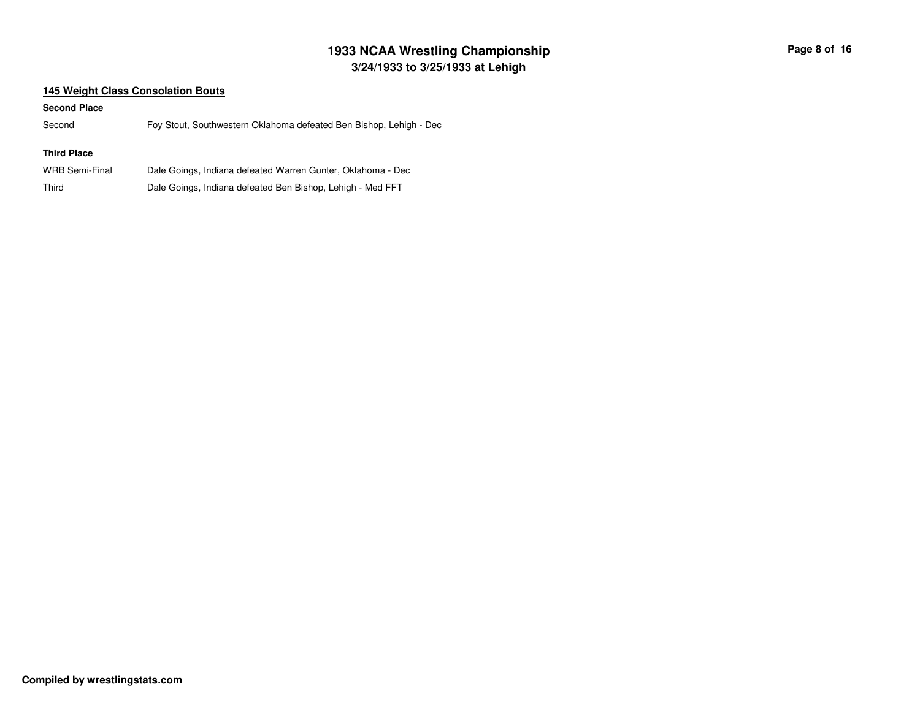# **3/24/1933 to 3/25/1933 at Lehigh 1933 NCAA Wrestling Championship Page <sup>8</sup> of <sup>16</sup>**

### **145 Weight Class Consolation Bouts**

#### **Second Place**

SecondFoy Stout, Southwestern Oklahoma defeated Ben Bishop, Lehigh - Dec

### **Third Place**

| WRB Semi-Final | Dale Goings, Indiana defeated Warren Gunter, Oklahoma - Dec |
|----------------|-------------------------------------------------------------|
| Third          | Dale Goings, Indiana defeated Ben Bishop, Lehigh - Med FFT  |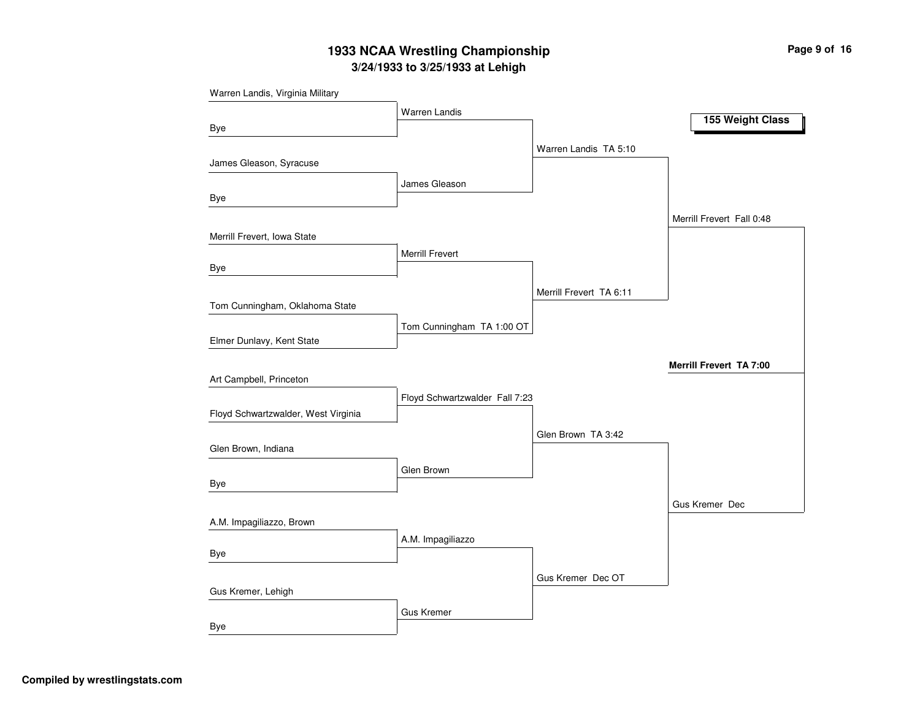# **3/24/1933 to 3/25/1933 at Lehigh 1933 NCAA Wrestling Championship Page <sup>9</sup> of <sup>16</sup>**

| Warren Landis, Virginia Military    |                                |                         |                                |
|-------------------------------------|--------------------------------|-------------------------|--------------------------------|
|                                     | Warren Landis                  |                         | 155 Weight Class               |
| Bye                                 |                                |                         |                                |
|                                     |                                | Warren Landis TA 5:10   |                                |
| James Gleason, Syracuse             |                                |                         |                                |
|                                     | James Gleason                  |                         |                                |
| Bye                                 |                                |                         |                                |
|                                     |                                |                         | Merrill Frevert Fall 0:48      |
| Merrill Frevert, Iowa State         |                                |                         |                                |
|                                     | <b>Merrill Frevert</b>         |                         |                                |
| Bye                                 |                                |                         |                                |
|                                     |                                | Merrill Frevert TA 6:11 |                                |
| Tom Cunningham, Oklahoma State      |                                |                         |                                |
|                                     | Tom Cunningham TA 1:00 OT      |                         |                                |
| Elmer Dunlavy, Kent State           |                                |                         |                                |
|                                     |                                |                         | <b>Merrill Frevert TA 7:00</b> |
| Art Campbell, Princeton             |                                |                         |                                |
|                                     | Floyd Schwartzwalder Fall 7:23 |                         |                                |
| Floyd Schwartzwalder, West Virginia |                                |                         |                                |
|                                     |                                | Glen Brown TA 3:42      |                                |
| Glen Brown, Indiana                 |                                |                         |                                |
|                                     | Glen Brown                     |                         |                                |
| Bye                                 |                                |                         |                                |
|                                     |                                |                         | Gus Kremer Dec                 |
| A.M. Impagiliazzo, Brown            |                                |                         |                                |
|                                     | A.M. Impagiliazzo              |                         |                                |
| Bye                                 |                                |                         |                                |
|                                     |                                | Gus Kremer Dec OT       |                                |
| Gus Kremer, Lehigh                  |                                |                         |                                |
|                                     | <b>Gus Kremer</b>              |                         |                                |
| <b>Bye</b>                          |                                |                         |                                |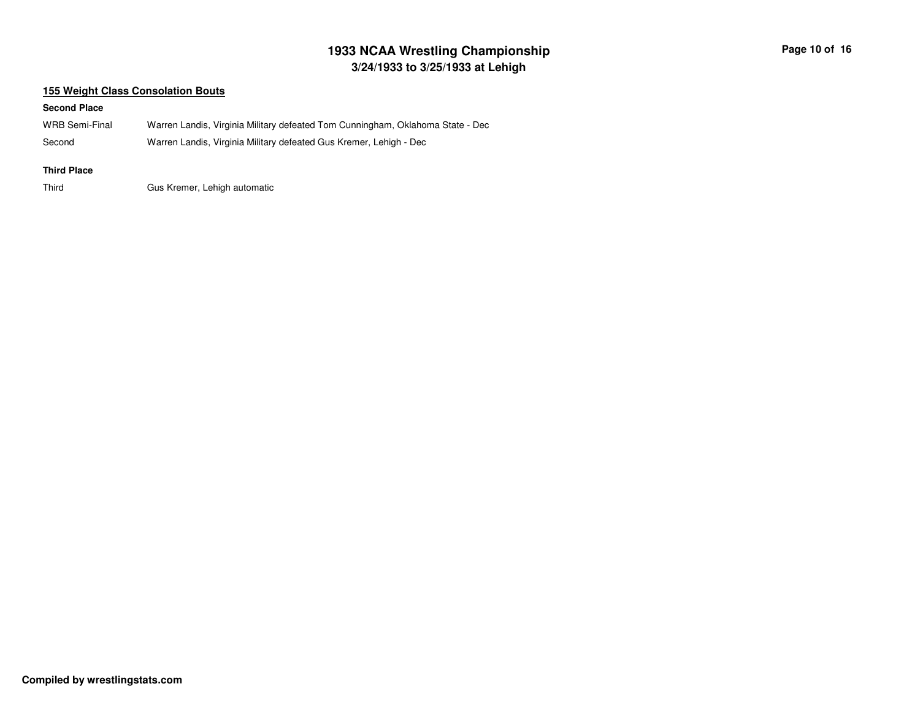# **3/24/1933 to 3/25/1933 at Lehigh 1933 NCAA Wrestling Championship Page <sup>10</sup> of <sup>16</sup>**

### **155 Weight Class Consolation Bouts**

#### **Second Place**

| WRB Semi-Final | Warren Landis, Virginia Military defeated Tom Cunningham, Oklahoma State - Dec |
|----------------|--------------------------------------------------------------------------------|
| Second         | Warren Landis, Virginia Military defeated Gus Kremer, Lehigh - Dec             |

#### **Third Place**

ThirdGus Kremer, Lehigh automatic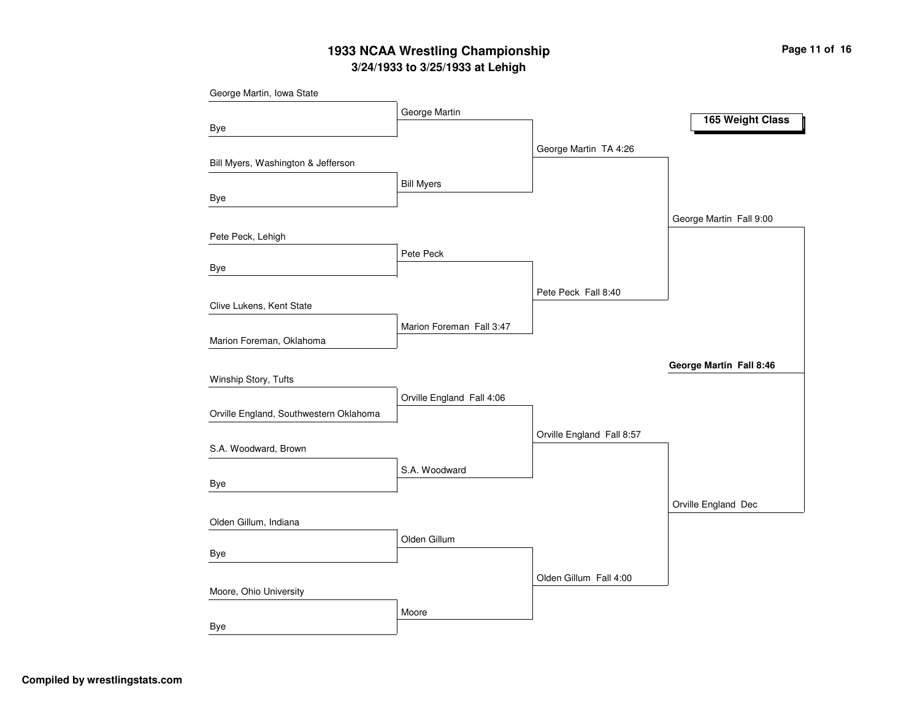# **3/24/1933 to 3/25/1933 at Lehigh 1933 NCAA Wrestling Championship Page <sup>11</sup> of <sup>16</sup>**

| George Martin, Iowa State              |                           |                           |                         |
|----------------------------------------|---------------------------|---------------------------|-------------------------|
|                                        | George Martin             |                           | 165 Weight Class        |
| <b>Bye</b>                             |                           |                           |                         |
|                                        |                           | George Martin TA 4:26     |                         |
| Bill Myers, Washington & Jefferson     |                           |                           |                         |
|                                        | <b>Bill Myers</b>         |                           |                         |
| Bye                                    |                           |                           |                         |
|                                        |                           |                           | George Martin Fall 9:00 |
| Pete Peck, Lehigh                      |                           |                           |                         |
|                                        | Pete Peck                 |                           |                         |
| <b>Bye</b>                             |                           |                           |                         |
|                                        |                           | Pete Peck Fall 8:40       |                         |
| Clive Lukens, Kent State               |                           |                           |                         |
| Marion Foreman, Oklahoma               | Marion Foreman Fall 3:47  |                           |                         |
|                                        |                           |                           |                         |
|                                        |                           |                           | George Martin Fall 8:46 |
| Winship Story, Tufts                   |                           |                           |                         |
| Orville England, Southwestern Oklahoma | Orville England Fall 4:06 |                           |                         |
|                                        |                           |                           |                         |
| S.A. Woodward, Brown                   |                           | Orville England Fall 8:57 |                         |
|                                        | S.A. Woodward             |                           |                         |
| Bye                                    |                           |                           |                         |
|                                        |                           |                           | Orville England Dec     |
| Olden Gillum, Indiana                  |                           |                           |                         |
|                                        | Olden Gillum              |                           |                         |
| Bye                                    |                           |                           |                         |
|                                        |                           | Olden Gillum Fall 4:00    |                         |
| Moore, Ohio University                 |                           |                           |                         |
|                                        | Moore                     |                           |                         |
| <b>Bye</b>                             |                           |                           |                         |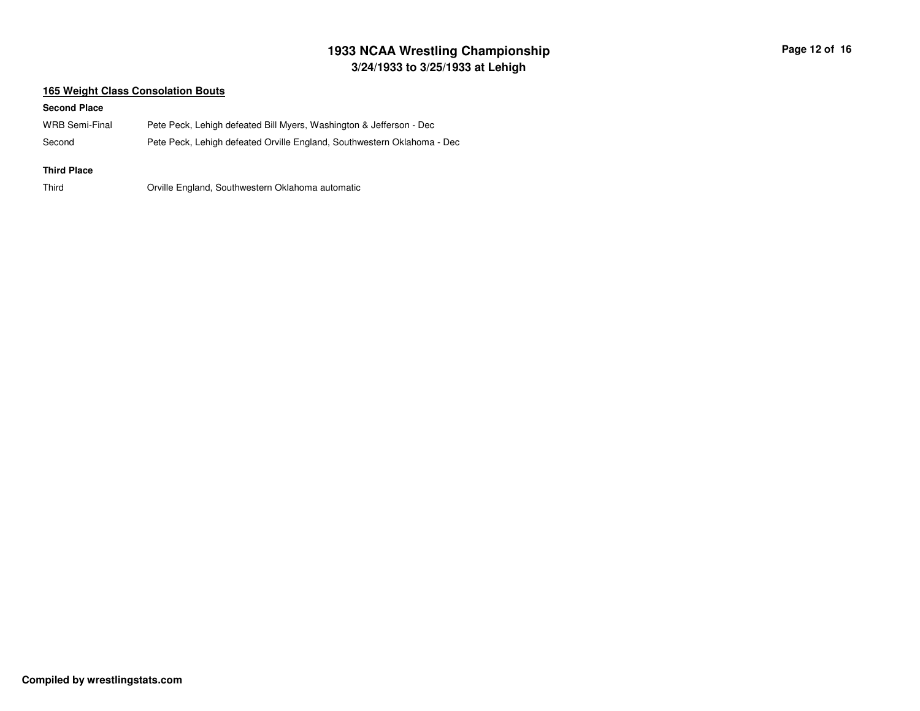# **3/24/1933 to 3/25/1933 at Lehigh 1933 NCAA Wrestling Championship Page <sup>12</sup> of <sup>16</sup>**

### **165 Weight Class Consolation Bouts**

#### **Second Place**

| WRB Semi-Final | Pete Peck, Lehigh defeated Bill Myers, Washington & Jefferson - Dec     |
|----------------|-------------------------------------------------------------------------|
| Second         | Pete Peck, Lehigh defeated Orville England, Southwestern Oklahoma - Dec |

#### **Third Place**

ThirdOrville England, Southwestern Oklahoma automatic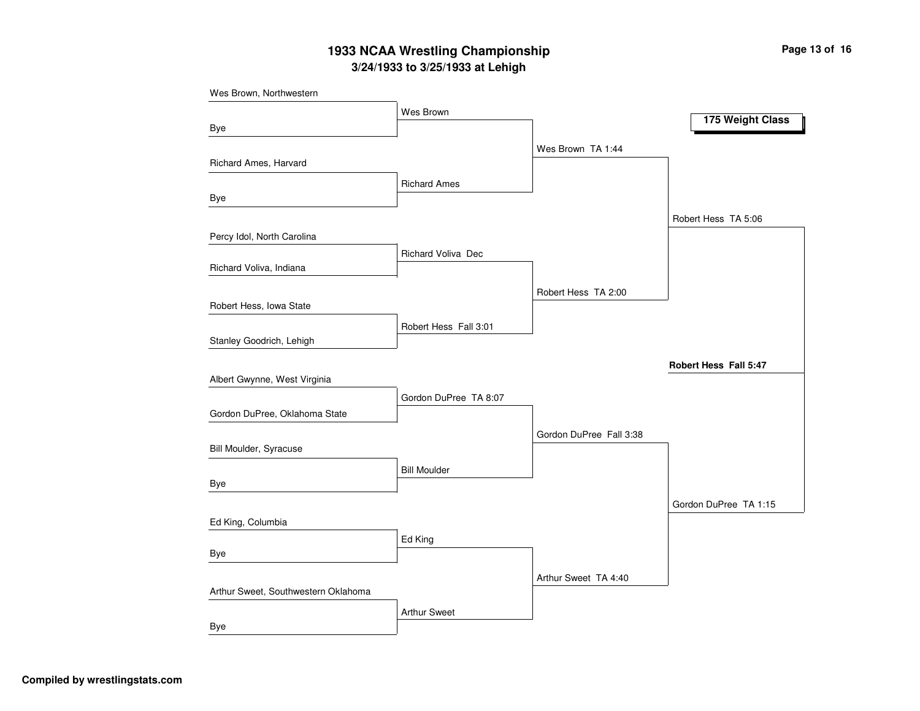# **3/24/1933 to 3/25/1933 at Lehigh 1933 NCAA Wrestling Championship Page <sup>13</sup> of <sup>16</sup>**

| Wes Brown, Northwestern             |                       |                         |                       |
|-------------------------------------|-----------------------|-------------------------|-----------------------|
|                                     | Wes Brown             |                         |                       |
| Bye                                 |                       |                         | 175 Weight Class      |
|                                     |                       | Wes Brown TA 1:44       |                       |
| Richard Ames, Harvard               |                       |                         |                       |
|                                     | <b>Richard Ames</b>   |                         |                       |
| Bye                                 |                       |                         |                       |
|                                     |                       |                         | Robert Hess TA 5:06   |
| Percy Idol, North Carolina          |                       |                         |                       |
|                                     | Richard Voliva Dec    |                         |                       |
| Richard Voliva, Indiana             |                       |                         |                       |
|                                     |                       | Robert Hess TA 2:00     |                       |
| Robert Hess, Iowa State             |                       |                         |                       |
|                                     | Robert Hess Fall 3:01 |                         |                       |
| Stanley Goodrich, Lehigh            |                       |                         |                       |
|                                     |                       |                         | Robert Hess Fall 5:47 |
| Albert Gwynne, West Virginia        |                       |                         |                       |
|                                     | Gordon DuPree TA 8:07 |                         |                       |
| Gordon DuPree, Oklahoma State       |                       |                         |                       |
|                                     |                       | Gordon DuPree Fall 3:38 |                       |
| Bill Moulder, Syracuse              |                       |                         |                       |
|                                     | <b>Bill Moulder</b>   |                         |                       |
| Bye                                 |                       |                         |                       |
|                                     |                       |                         | Gordon DuPree TA 1:15 |
| Ed King, Columbia                   |                       |                         |                       |
|                                     | Ed King               |                         |                       |
| Bye                                 |                       |                         |                       |
|                                     |                       | Arthur Sweet TA 4:40    |                       |
| Arthur Sweet, Southwestern Oklahoma |                       |                         |                       |
|                                     | <b>Arthur Sweet</b>   |                         |                       |
| <b>Bye</b>                          |                       |                         |                       |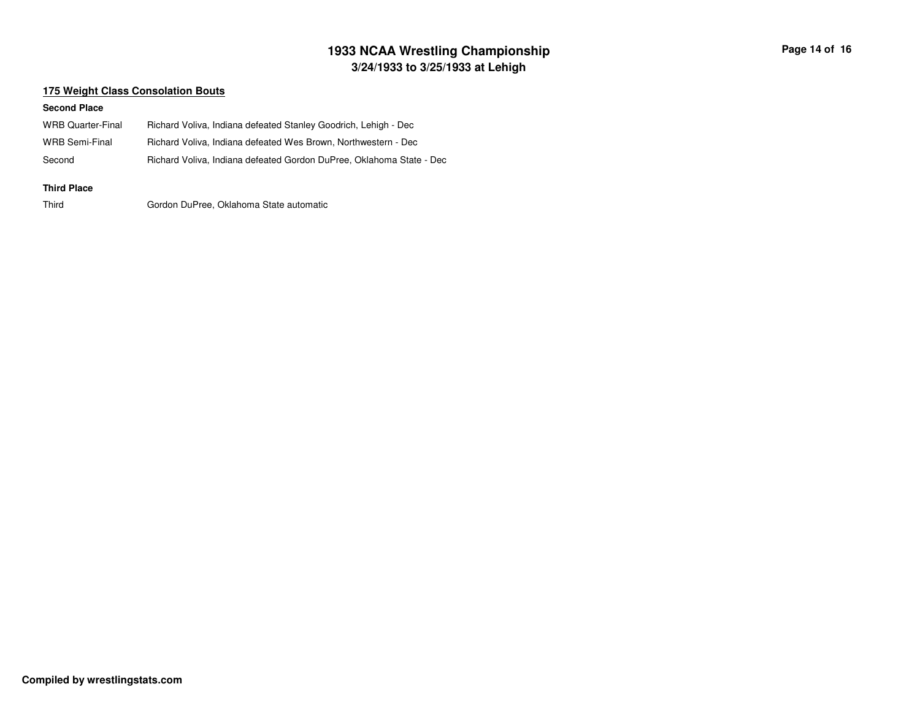# **3/24/1933 to 3/25/1933 at Lehigh 1933 NCAA Wrestling Championship Page <sup>14</sup> of <sup>16</sup>**

### **175 Weight Class Consolation Bouts**

#### **Second Place**

| WRB Quarter-Final<br>WRB Semi-Final | Richard Voliva, Indiana defeated Stanley Goodrich, Lehigh - Dec<br>Richard Voliva, Indiana defeated Wes Brown, Northwestern - Dec |
|-------------------------------------|-----------------------------------------------------------------------------------------------------------------------------------|
| Second                              | Richard Voliva, Indiana defeated Gordon DuPree, Oklahoma State - Dec                                                              |
| <b>Third Place</b>                  |                                                                                                                                   |

Third

Gordon DuPree, Oklahoma State automatic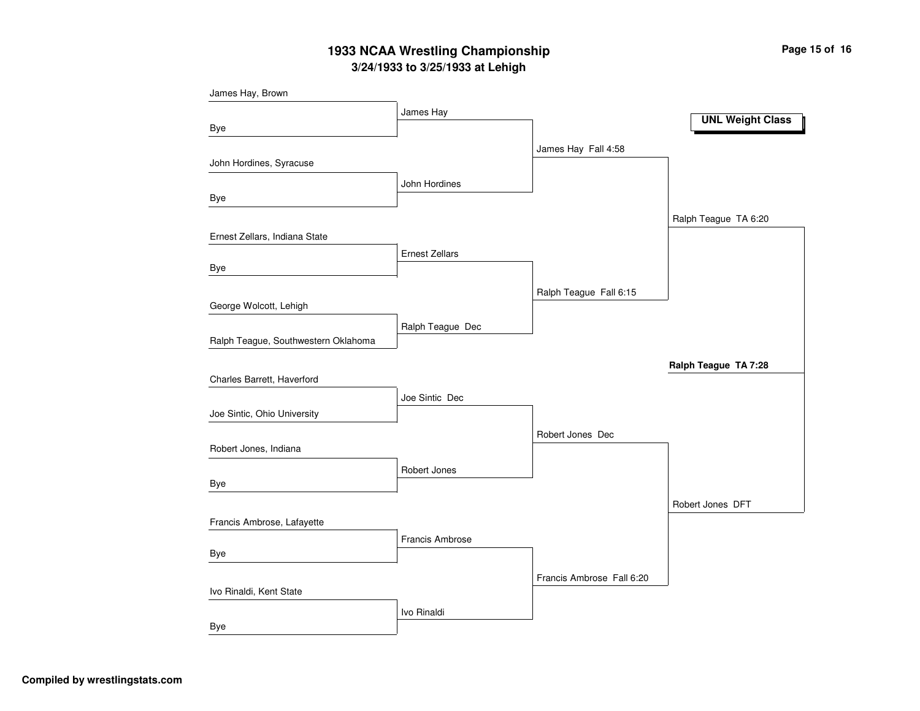# **3/24/1933 to 3/25/1933 at Lehigh 1933 NCAA Wrestling Championship Page <sup>15</sup> of <sup>16</sup>**

| James Hay, Brown                    |                       |                           |                         |
|-------------------------------------|-----------------------|---------------------------|-------------------------|
|                                     | James Hay             |                           |                         |
| Bye                                 |                       |                           | <b>UNL Weight Class</b> |
|                                     |                       | James Hay Fall 4:58       |                         |
| John Hordines, Syracuse             |                       |                           |                         |
|                                     | John Hordines         |                           |                         |
| Bye                                 |                       |                           |                         |
|                                     |                       |                           | Ralph Teague TA 6:20    |
| Ernest Zellars, Indiana State       |                       |                           |                         |
|                                     | <b>Ernest Zellars</b> |                           |                         |
| Bye                                 |                       |                           |                         |
|                                     |                       | Ralph Teague Fall 6:15    |                         |
| George Wolcott, Lehigh              |                       |                           |                         |
|                                     | Ralph Teague Dec      |                           |                         |
| Ralph Teague, Southwestern Oklahoma |                       |                           |                         |
|                                     |                       |                           | Ralph Teague TA 7:28    |
| Charles Barrett, Haverford          |                       |                           |                         |
|                                     | Joe Sintic Dec        |                           |                         |
| Joe Sintic, Ohio University         |                       |                           |                         |
| Robert Jones, Indiana               |                       | Robert Jones Dec          |                         |
|                                     |                       |                           |                         |
| Bye                                 | Robert Jones          |                           |                         |
|                                     |                       |                           | Robert Jones DFT        |
| Francis Ambrose, Lafayette          |                       |                           |                         |
|                                     | Francis Ambrose       |                           |                         |
| Bye                                 |                       |                           |                         |
|                                     |                       | Francis Ambrose Fall 6:20 |                         |
| Ivo Rinaldi, Kent State             |                       |                           |                         |
|                                     | Ivo Rinaldi           |                           |                         |
| <b>Bye</b>                          |                       |                           |                         |